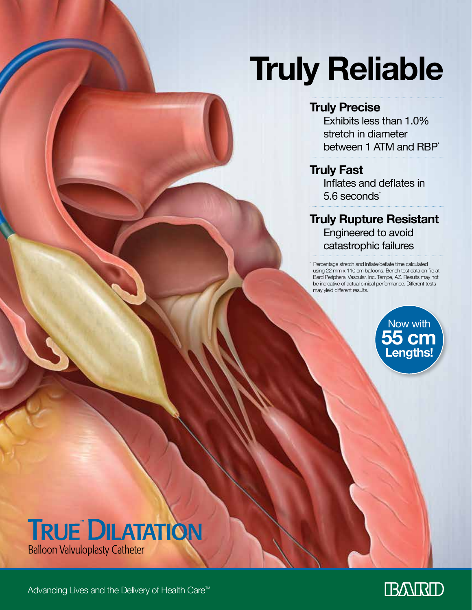# **Truly Reliable**

# **Truly Precise**

Exhibits less than 1.0% stretch in diameter between 1 ATM and RBP<sup>\*</sup>

## **Truly Fast**

\*

Inflates and deflates in 5.6 seconds<sup>\*</sup>

**Truly Rupture Resistant** Engineered to avoid catastrophic failures

 Percentage stretch and inflate/deflate time calculated using 22 mm x 110 cm balloons. Bench test data on file at Bard Peripheral Vascular, Inc. Tempe, AZ. Results may not be indicative of actual clinical performance. Different tests may yield different results.





Advancing Lives and the Delivery of Health Care™